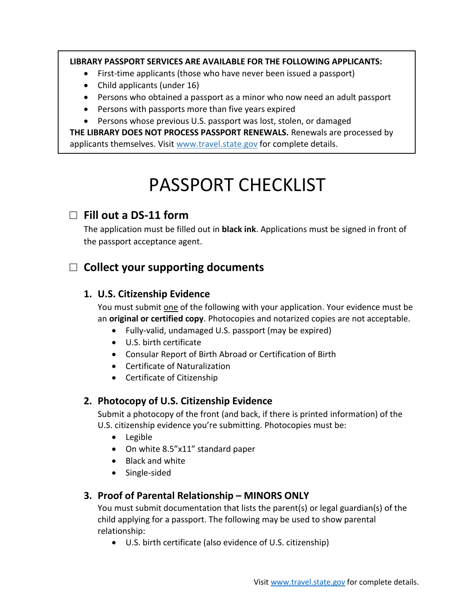#### **LIBRARY PASSPORT SERVICES ARE AVAILABLE FOR THE FOLLOWING APPLICANTS:**

- First-time applicants (those who have never been issued a passport)
- Child applicants (under 16)
- Persons who obtained a passport as a minor who now need an adult passport
- Persons with passports more than five years expired
- Persons whose previous U.S. passport was lost, stolen, or damaged

**THE LIBRARY DOES NOT PROCESS PASSPORT RENEWALS.** Renewals are processed by applicants themselves. Visit www.travel.state.gov for complete details.

# PASSPORT CHECKLIST

## □ **Fill out a DS-11 form**

The application must be filled out in **black ink**. Applications must be signed in front of the passport acceptance agent.

# □ **Collect your supporting documents**

#### **1. U.S. Citizenship Evidence**

You must submit one of the following with your application. Your evidence must be an **original or certified copy**. Photocopies and notarized copies are not acceptable.

- Fully-valid, undamaged U.S. passport (may be expired)
- U.S. birth certificate
- Consular Report of Birth Abroad or Certification of Birth
- Certificate of Naturalization
- Certificate of Citizenship

#### **2. Photocopy of U.S. Citizenship Evidence**

Submit a photocopy of the front (and back, if there is printed information) of the U.S. citizenship evidence you're submitting. Photocopies must be:

- Legible
- On white 8.5"x11" standard paper
- Black and white
- Single-sided

#### **3. Proof of Parental Relationship – MINORS ONLY**

You must submit documentation that lists the parent(s) or legal guardian(s) of the child applying for a passport. The following may be used to show parental relationship:

U.S. birth certificate (also evidence of U.S. citizenship)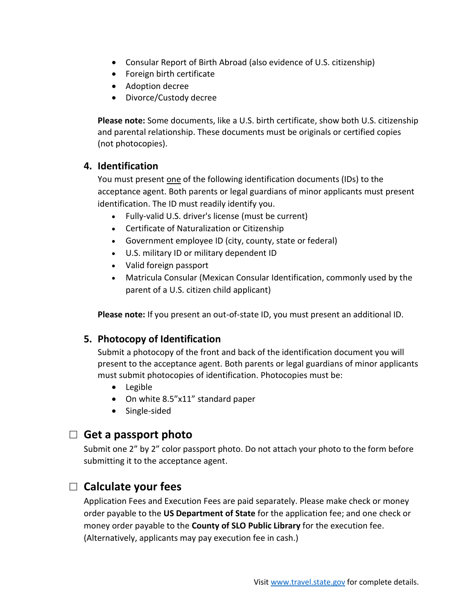- Consular Report of Birth Abroad (also evidence of U.S. citizenship)
- Foreign birth certificate
- Adoption decree
- Divorce/Custody decree

**Please note:** Some documents, like a U.S. birth certificate, show both U.S. citizenship and parental relationship. These documents must be originals or certified copies (not photocopies).

#### **4. Identification**

You must present one of the following identification documents (IDs) to the acceptance agent. Both parents or legal guardians of minor applicants must present identification. The ID must readily identify you.

- Fully-valid U.S. driver's license (must be current)
- Certificate of Naturalization or Citizenship
- Government employee ID (city, county, state or federal)
- U.S. military ID or military dependent ID
- Valid foreign passport
- Matricula Consular (Mexican Consular Identification, commonly used by the parent of a U.S. citizen child applicant)

**Please note:** If you present an out-of-state ID, you must present an additional ID.

#### **5. Photocopy of Identification**

Submit a photocopy of the front and back of the identification document you will present to the acceptance agent. Both parents or legal guardians of minor applicants must submit photocopies of identification. Photocopies must be:

- Legible
- On white 8.5"x11" standard paper
- Single-sided

## □ **Get a passport photo**

Submit one 2" by 2" color passport photo. Do not attach your photo to the form before submitting it to the acceptance agent.

## □ **Calculate your fees**

Application Fees and Execution Fees are paid separately. Please make check or money order payable to the **US Department of State** for the application fee; and one check or money order payable to the **County of SLO Public Library** for the execution fee. (Alternatively, applicants may pay execution fee in cash.)